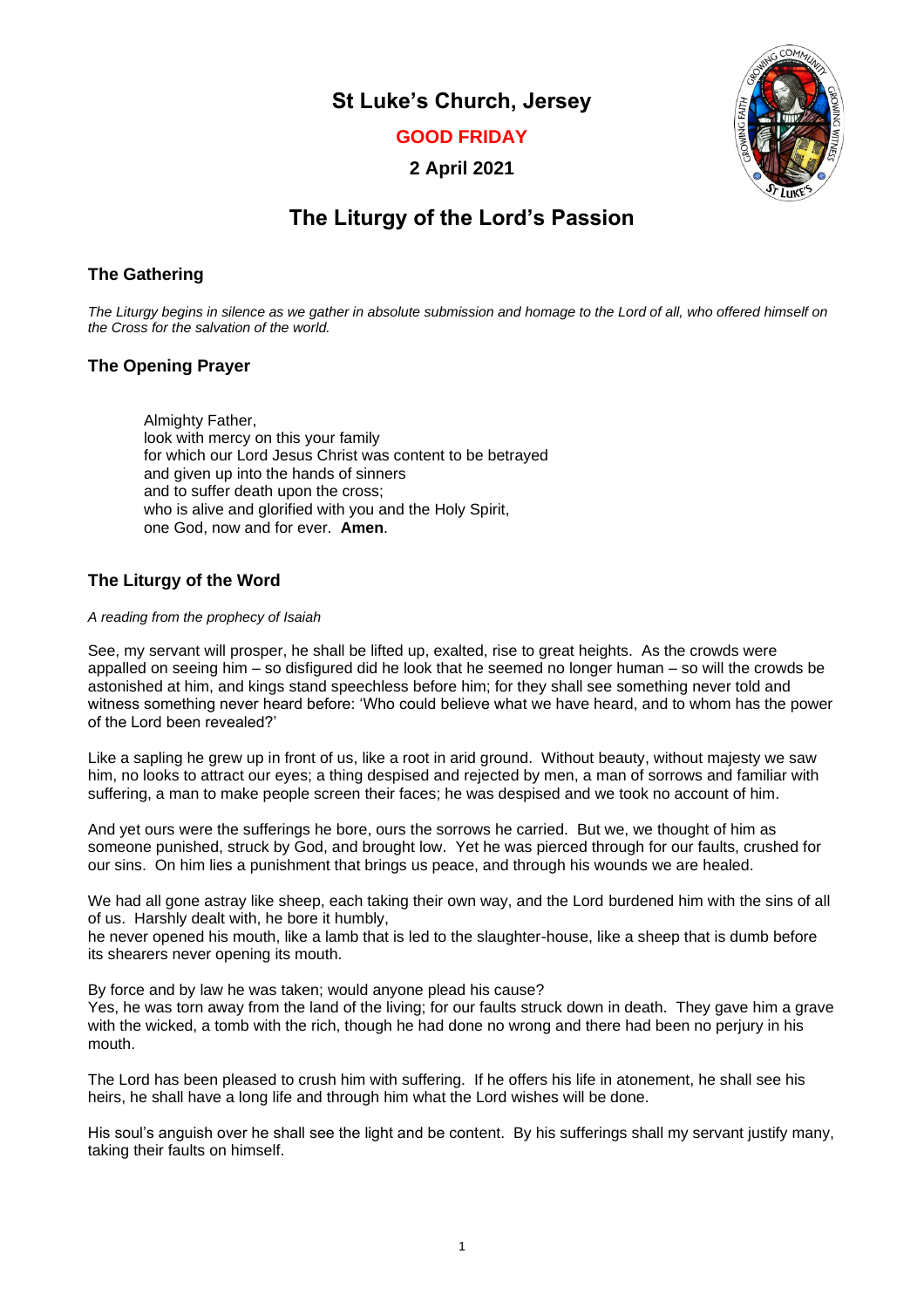**St Luke's Church, Jersey**

**GOOD FRIDAY**

**2 April 2021**



# **The Liturgy of the Lord's Passion**

# **The Gathering**

*The Liturgy begins in silence as we gather in absolute submission and homage to the Lord of all, who offered himself on the Cross for the salvation of the world.*

# **The Opening Prayer**

Almighty Father, look with mercy on this your family for which our Lord Jesus Christ was content to be betrayed and given up into the hands of sinners and to suffer death upon the cross; who is alive and glorified with you and the Holy Spirit, one God, now and for ever. **Amen**.

# **The Liturgy of the Word**

#### *A reading from the prophecy of Isaiah*

See, my servant will prosper, he shall be lifted up, exalted, rise to great heights. As the crowds were appalled on seeing him – so disfigured did he look that he seemed no longer human – so will the crowds be astonished at him, and kings stand speechless before him; for they shall see something never told and witness something never heard before: 'Who could believe what we have heard, and to whom has the power of the Lord been revealed?'

Like a sapling he grew up in front of us, like a root in arid ground. Without beauty, without majesty we saw him, no looks to attract our eyes; a thing despised and rejected by men, a man of sorrows and familiar with suffering, a man to make people screen their faces; he was despised and we took no account of him.

And yet ours were the sufferings he bore, ours the sorrows he carried. But we, we thought of him as someone punished, struck by God, and brought low. Yet he was pierced through for our faults, crushed for our sins. On him lies a punishment that brings us peace, and through his wounds we are healed.

We had all gone astray like sheep, each taking their own way, and the Lord burdened him with the sins of all of us. Harshly dealt with, he bore it humbly,

he never opened his mouth, like a lamb that is led to the slaughter-house, like a sheep that is dumb before its shearers never opening its mouth.

By force and by law he was taken; would anyone plead his cause?

Yes, he was torn away from the land of the living; for our faults struck down in death. They gave him a grave with the wicked, a tomb with the rich, though he had done no wrong and there had been no perjury in his mouth.

The Lord has been pleased to crush him with suffering. If he offers his life in atonement, he shall see his heirs, he shall have a long life and through him what the Lord wishes will be done.

His soul's anguish over he shall see the light and be content. By his sufferings shall my servant justify many, taking their faults on himself.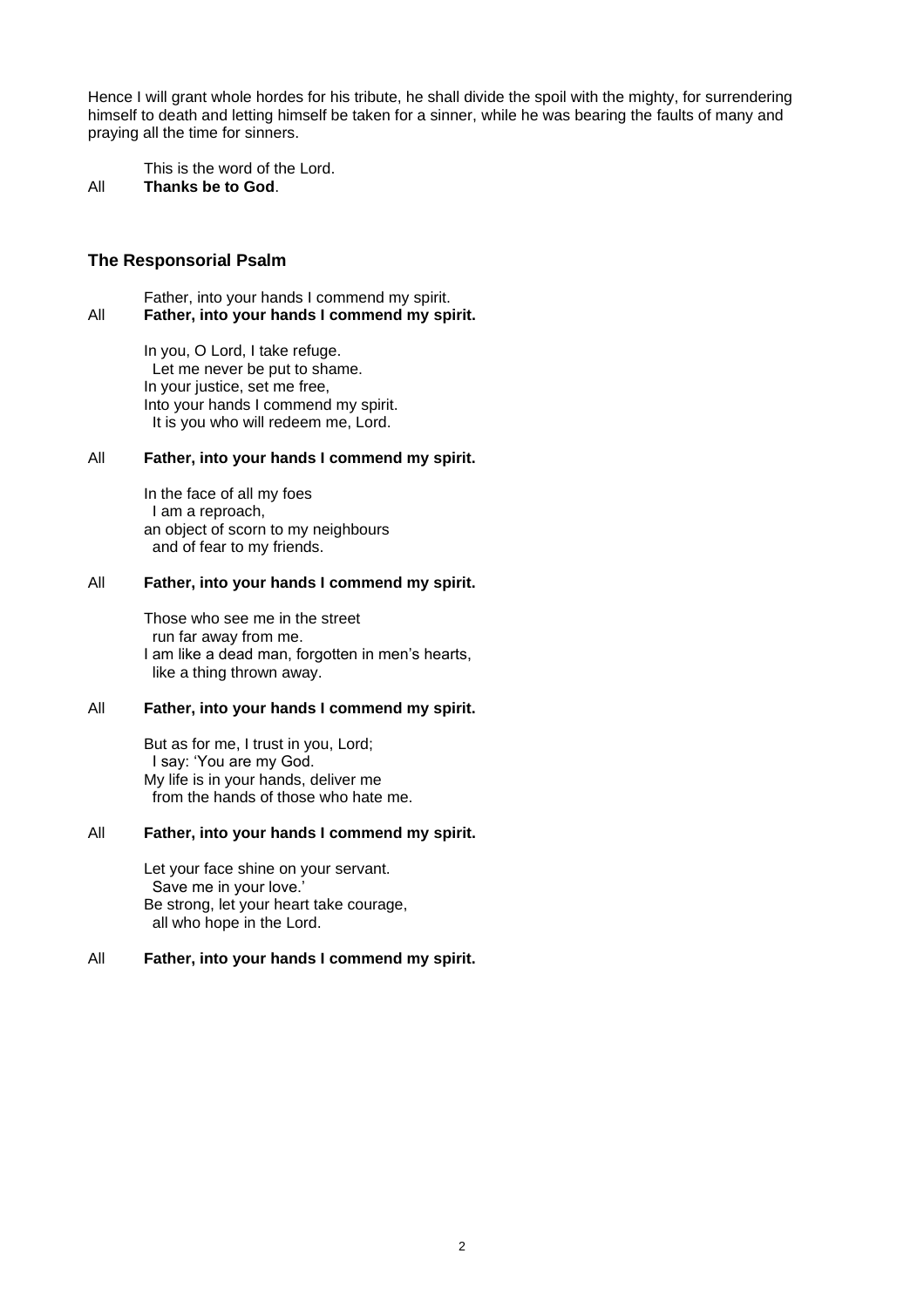Hence I will grant whole hordes for his tribute, he shall divide the spoil with the mighty, for surrendering himself to death and letting himself be taken for a sinner, while he was bearing the faults of many and praying all the time for sinners.

This is the word of the Lord. All **Thanks be to God**.

# **The Responsorial Psalm**

Father, into your hands I commend my spirit. All **Father, into your hands I commend my spirit.**

> In you, O Lord, I take refuge. Let me never be put to shame. In your justice, set me free, Into your hands I commend my spirit. It is you who will redeem me, Lord.

#### All **Father, into your hands I commend my spirit.**

In the face of all my foes I am a reproach, an object of scorn to my neighbours and of fear to my friends.

# All **Father, into your hands I commend my spirit.**

Those who see me in the street run far away from me. I am like a dead man, forgotten in men's hearts, like a thing thrown away.

# All **Father, into your hands I commend my spirit.**

But as for me, I trust in you, Lord; I say: 'You are my God. My life is in your hands, deliver me from the hands of those who hate me.

#### All **Father, into your hands I commend my spirit.**

Let your face shine on your servant. Save me in your love.' Be strong, let your heart take courage, all who hope in the Lord.

# All **Father, into your hands I commend my spirit.**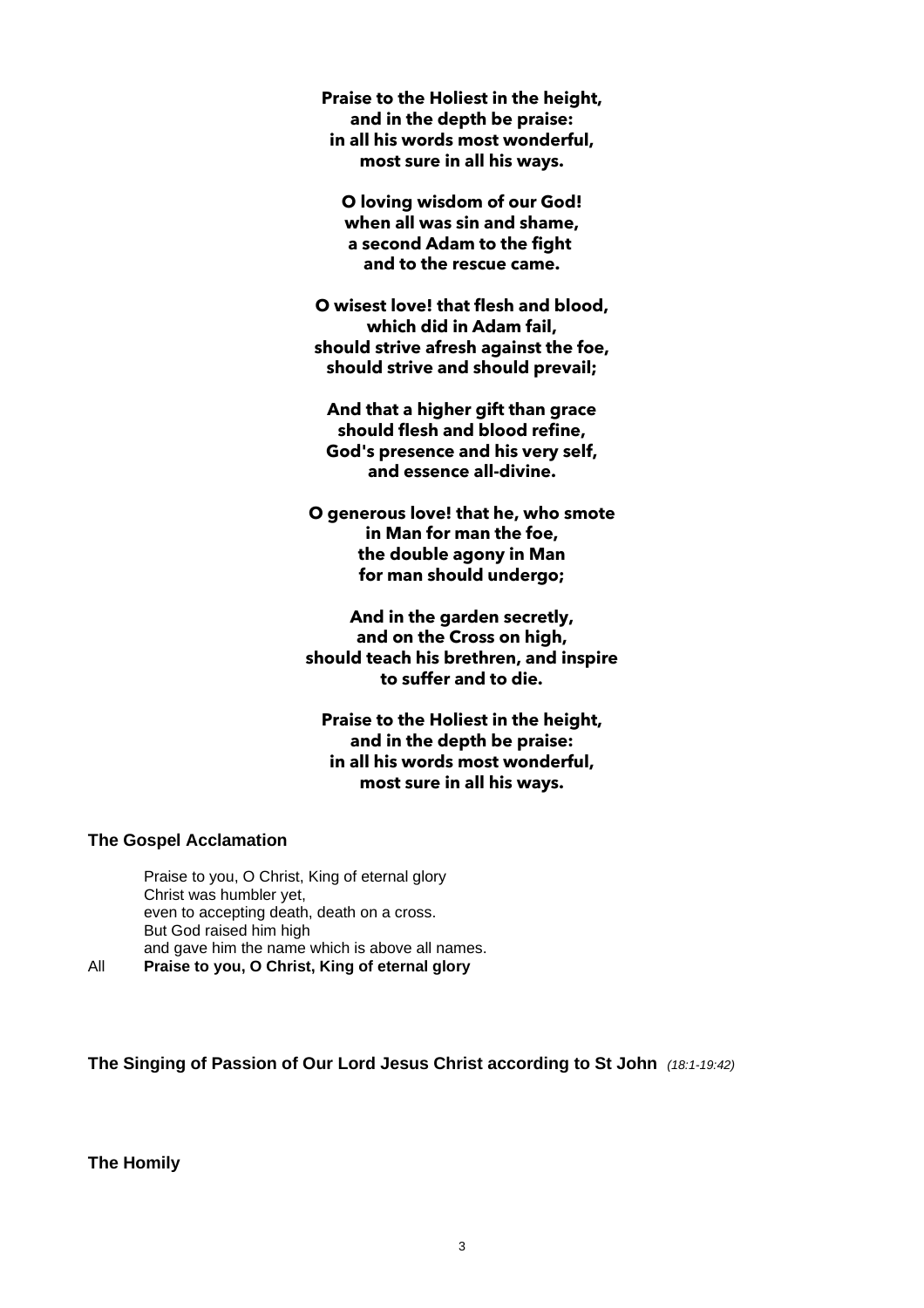**Praise to the Holiest in the height, and in the depth be praise: in all his words most wonderful, most sure in all his ways.**

**O loving wisdom of our God! when all was sin and shame, a second Adam to the fight and to the rescue came.**

**O wisest love! that flesh and blood, which did in Adam fail, should strive afresh against the foe, should strive and should prevail;** 

**And that a higher gift than grace should flesh and blood refine, God's presence and his very self, and essence all-divine.** 

**O generous love! that he, who smote in Man for man the foe, the double agony in Man for man should undergo;** 

**And in the garden secretly, and on the Cross on high, should teach his brethren, and inspire to suffer and to die.** 

**Praise to the Holiest in the height, and in the depth be praise: in all his words most wonderful, most sure in all his ways.**

# **The Gospel Acclamation**

Praise to you, O Christ, King of eternal glory Christ was humbler yet, even to accepting death, death on a cross. But God raised him high and gave him the name which is above all names. All **Praise to you, O Christ, King of eternal glory**

**The Singing of Passion of Our Lord Jesus Christ according to St John** *(18:1-19:42)*

**The Homily**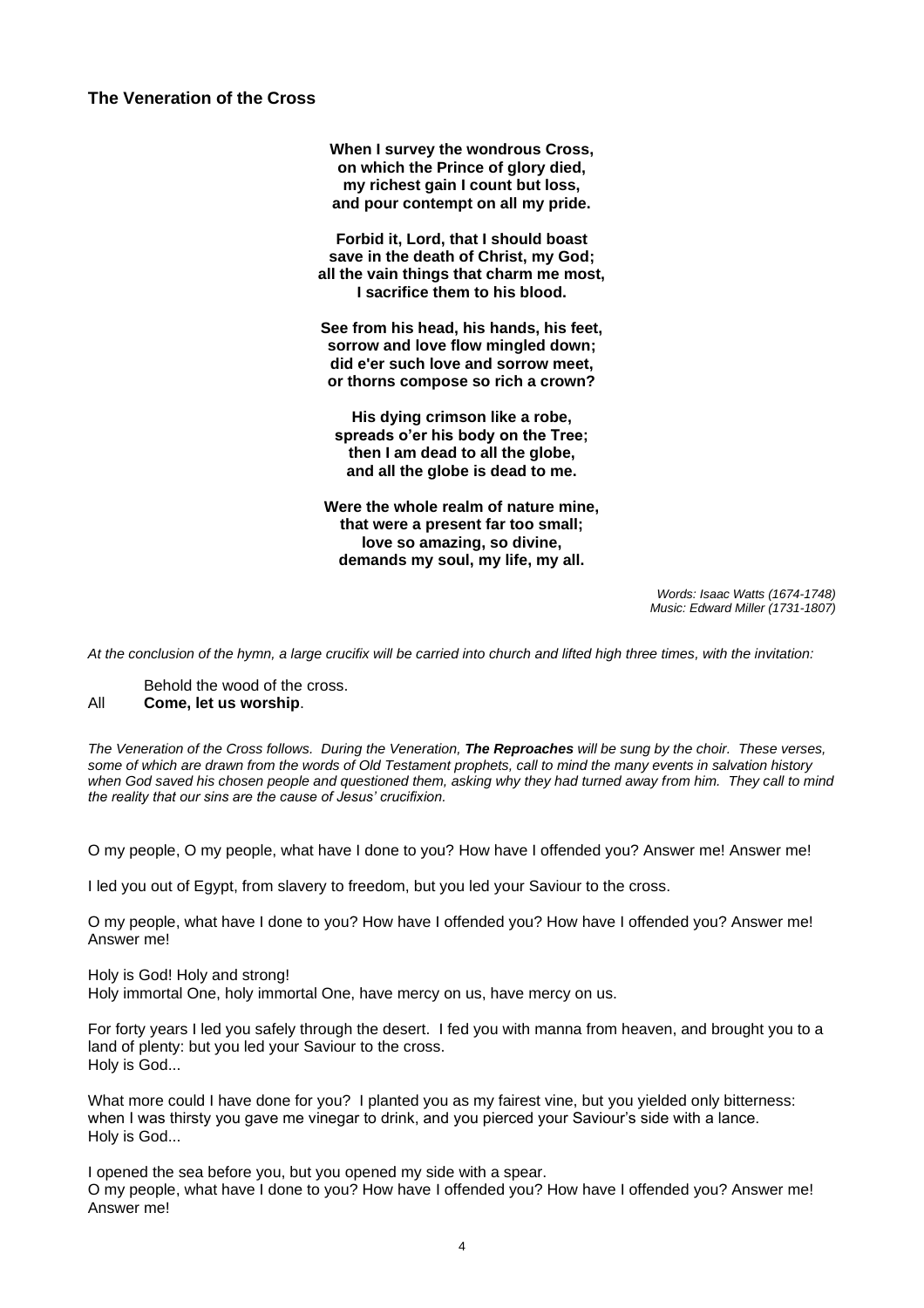**The Veneration of the Cross**

**When I survey the wondrous Cross, on which the Prince of glory died, my richest gain I count but loss, and pour contempt on all my pride.**

**Forbid it, Lord, that I should boast save in the death of Christ, my God; all the vain things that charm me most, I sacrifice them to his blood.**

**See from his head, his hands, his feet, sorrow and love flow mingled down; did e'er such love and sorrow meet, or thorns compose so rich a crown?**

**His dying crimson like a robe, spreads o'er his body on the Tree; then I am dead to all the globe, and all the globe is dead to me.**

**Were the whole realm of nature mine, that were a present far too small; love so amazing, so divine, demands my soul, my life, my all.**

> *Words: Isaac Watts (1674-1748) Music: Edward Miller (1731-1807)*

*At the conclusion of the hymn, a large crucifix will be carried into church and lifted high three times, with the invitation:*

Behold the wood of the cross. All **Come, let us worship**.

*The Veneration of the Cross follows. During the Veneration, The Reproaches will be sung by the choir. These verses, some of which are drawn from the words of Old Testament prophets, call to mind the many events in salvation history*  when God saved his chosen people and questioned them, asking why they had turned away from him. They call to mind *the reality that our sins are the cause of Jesus' crucifixion.*

O my people, O my people, what have I done to you? How have I offended you? Answer me! Answer me!

I led you out of Egypt, from slavery to freedom, but you led your Saviour to the cross.

O my people, what have I done to you? How have I offended you? How have I offended you? Answer me! Answer me!

Holy is God! Holy and strong! Holy immortal One, holy immortal One, have mercy on us, have mercy on us.

For forty years I led you safely through the desert. I fed you with manna from heaven, and brought you to a land of plenty: but you led your Saviour to the cross. Holy is God...

What more could I have done for you? I planted you as my fairest vine, but you yielded only bitterness: when I was thirsty you gave me vinegar to drink, and you pierced your Saviour's side with a lance. Holy is God...

I opened the sea before you, but you opened my side with a spear. O my people, what have I done to you? How have I offended you? How have I offended you? Answer me! Answer me!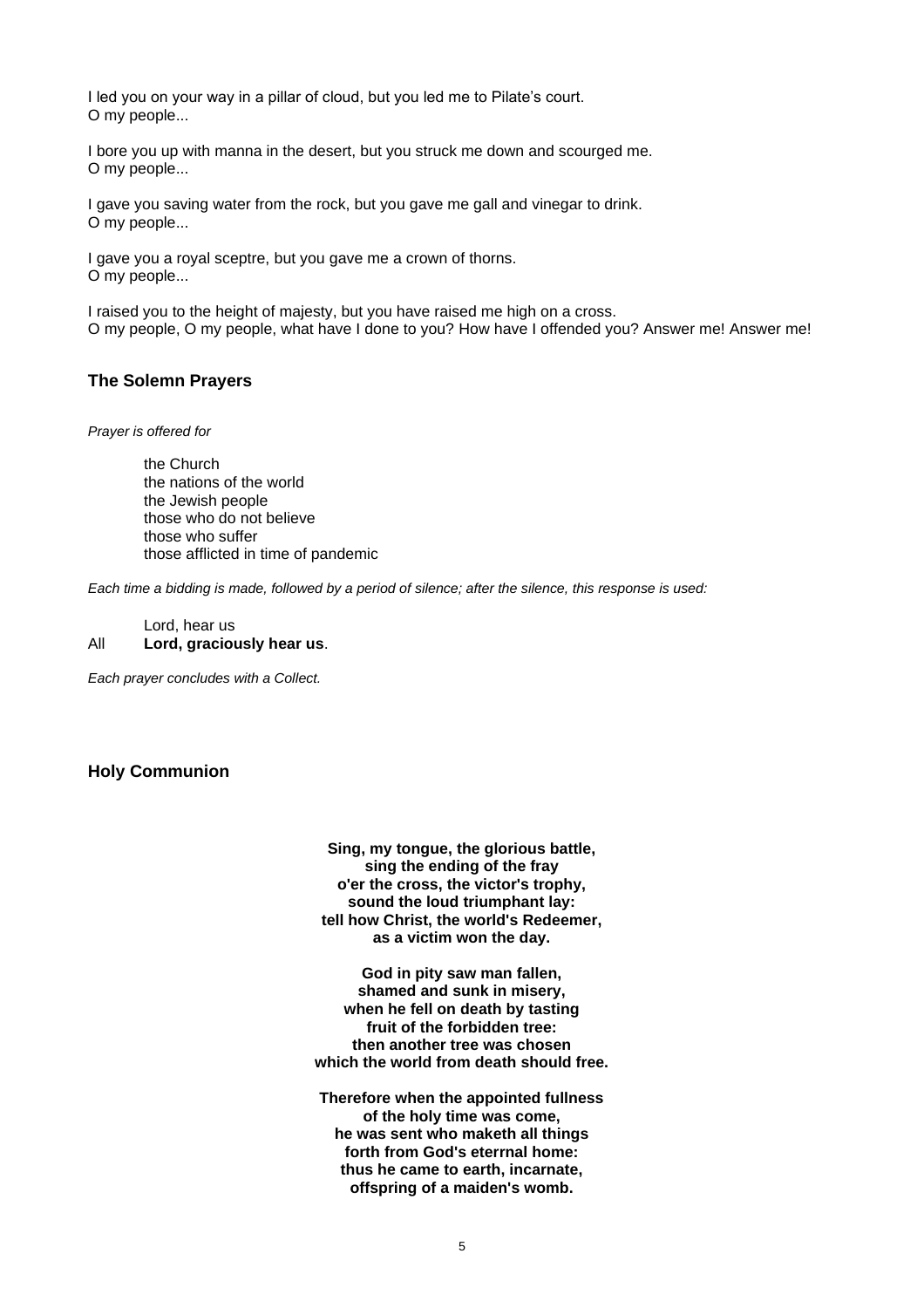I led you on your way in a pillar of cloud, but you led me to Pilate's court. O my people...

I bore you up with manna in the desert, but you struck me down and scourged me. O my people...

I gave you saving water from the rock, but you gave me gall and vinegar to drink. O my people...

I gave you a royal sceptre, but you gave me a crown of thorns. O my people...

I raised you to the height of majesty, but you have raised me high on a cross. O my people, O my people, what have I done to you? How have I offended you? Answer me! Answer me!

# **The Solemn Prayers**

*Prayer is offered for*

the Church the nations of the world the Jewish people those who do not believe those who suffer those afflicted in time of pandemic

*Each time a bidding is made, followed by a period of silence; after the silence, this response is used:*

Lord, hear us All **Lord, graciously hear us**.

*Each prayer concludes with a Collect.*

# **Holy Communion**

**Sing, my tongue, the glorious battle, sing the ending of the fray o'er the cross, the victor's trophy, sound the loud triumphant lay: tell how Christ, the world's Redeemer, as a victim won the day.**

**God in pity saw man fallen, shamed and sunk in misery, when he fell on death by tasting fruit of the forbidden tree: then another tree was chosen which the world from death should free.**

**Therefore when the appointed fullness of the holy time was come, he was sent who maketh all things forth from God's eterrnal home: thus he came to earth, incarnate, offspring of a maiden's womb.**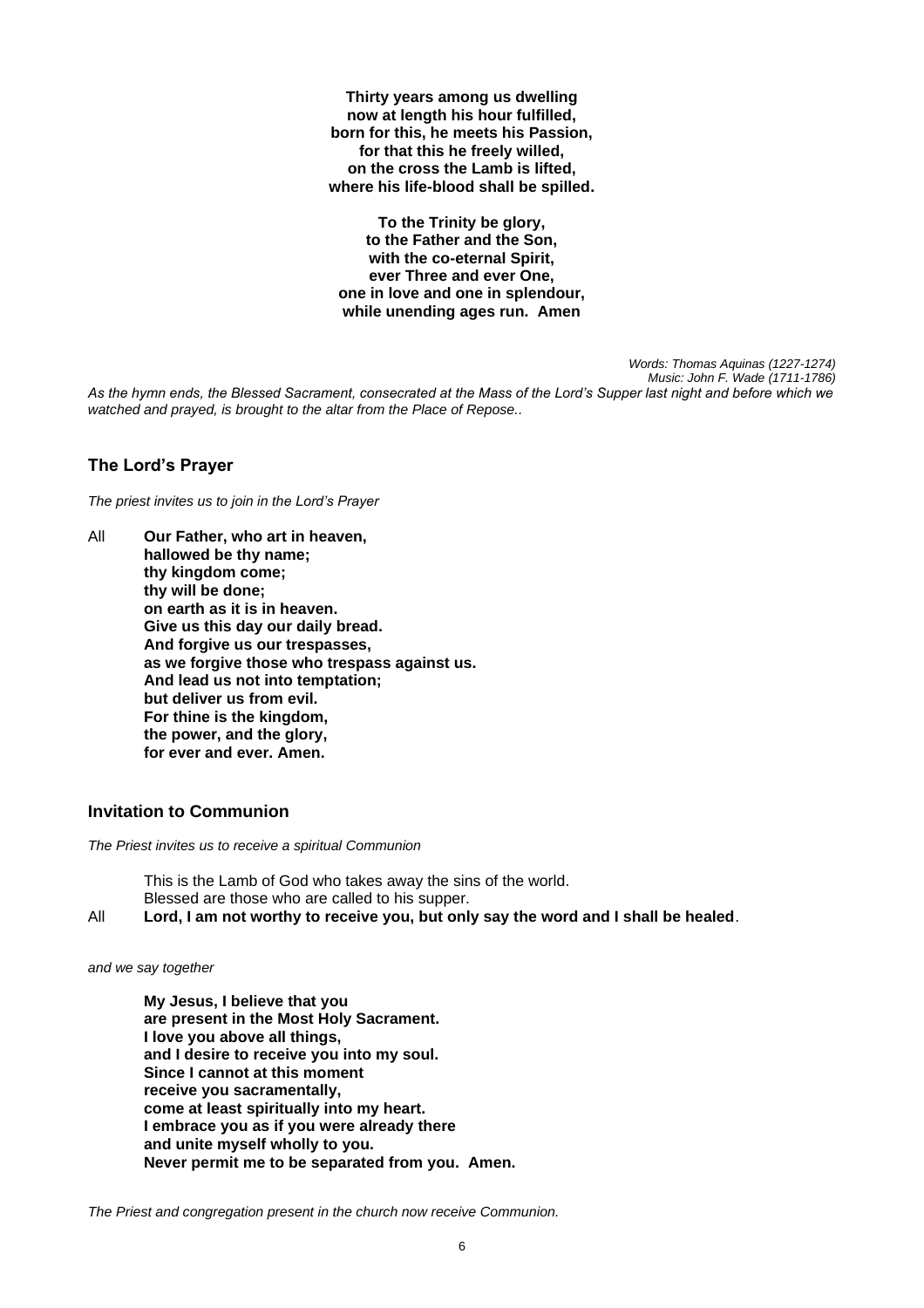**Thirty years among us dwelling now at length his hour fulfilled, born for this, he meets his Passion, for that this he freely willed, on the cross the Lamb is lifted, where his life-blood shall be spilled.**

**To the Trinity be glory, to the Father and the Son, with the co-eternal Spirit, ever Three and ever One, one in love and one in splendour, while unending ages run. Amen**

> *Words: Thomas Aquinas (1227-1274) Music: John F. Wade (1711-1786)*

*As the hymn ends, the Blessed Sacrament, consecrated at the Mass of the Lord's Supper last night and before which we watched and prayed, is brought to the altar from the Place of Repose..*

# **The Lord's Prayer**

*The priest invites us to join in the Lord's Prayer* 

All **Our Father, who art in heaven, hallowed be thy name; thy kingdom come; thy will be done; on earth as it is in heaven. Give us this day our daily bread. And forgive us our trespasses, as we forgive those who trespass against us. And lead us not into temptation; but deliver us from evil. For thine is the kingdom, the power, and the glory, for ever and ever. Amen.** 

# **Invitation to Communion**

*The Priest invites us to receive a spiritual Communion*

This is the Lamb of God who takes away the sins of the world. Blessed are those who are called to his supper.

All **Lord, I am not worthy to receive you, but only say the word and I shall be healed**.

*and we say together*

**My Jesus, I believe that you are present in the Most Holy Sacrament. I love you above all things, and I desire to receive you into my soul. Since I cannot at this moment receive you sacramentally, come at least spiritually into my heart. I embrace you as if you were already there and unite myself wholly to you. Never permit me to be separated from you. Amen.**

*The Priest and congregation present in the church now receive Communion.*